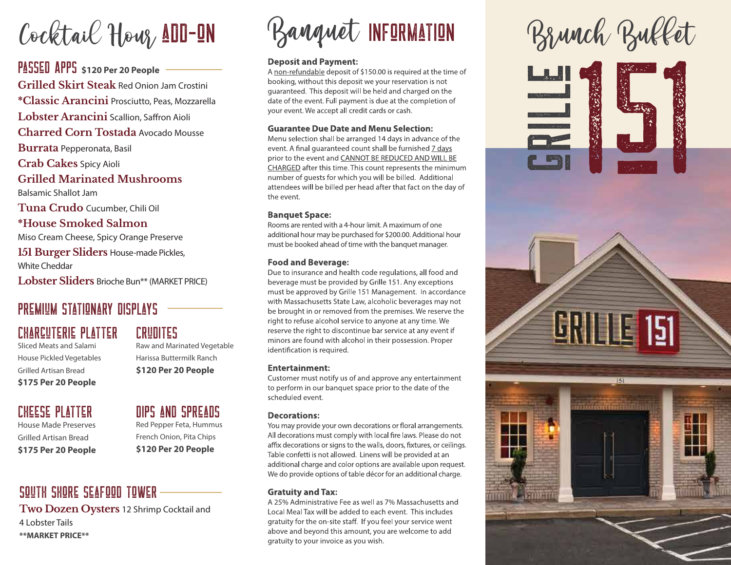# Cocktail Hour, ADD-ON

Passed Apps **\$120 Per 20 People Grilled Skirt Steak** Red Onion Jam Crostini **\*Classic Arancini** Prosciutto, Peas, Mozzarella **Lobster Arancini** Scallion, Saffron Aioli **Charred Corn Tostada** Avocado Mousse **Burrata** Pepperonata, Basil **Crab Cakes** Spicy Aioli **Grilled Marinated Mushrooms**  Balsamic Shallot Jam **Tuna Crudo** Cucumber, Chili Oil **\*House Smoked Salmon** Miso Cream Cheese, Spicy Orange Preserve **151 Burger Sliders** House-made Pickles,

White Cheddar

**Lobster Sliders** Brioche Bun\*\* (MARKET PRICE)

## PREMIUM STATIONARY DISPLAYS

## Charcuterie Platter

Sliced Meats and Salami House Pickled Vegetables Grilled Artisan Bread **\$175 Per 20 People**

### Cheese Platter

House Made Preserves Grilled Artisan Bread **\$175 Per 20 People**

## Crudites

Raw and Marinated Vegetable Harissa Buttermilk Ranch **\$120 Per 20 People**

Dips and Spreads Red Pepper Feta, Hummus French Onion, Pita Chips **\$120 Per 20 People**

### south shore Seafood Tower

**Two Dozen Oysters** 12 Shrimp Cocktail and 4 Lobster Tails **\*\*MARKET PRICE\*\***

# Banquet INFORMATION Brunch Buffet

#### **Deposit and Payment:**

A non-refundable deposit of \$150.00 is required at the time of booking, without this deposit we your reservation is not guaranteed. This deposit will be held and charged on the date of the event. Full payment is due at the completion of your event. We accept all credit cards or cash.

#### **Guarantee Due Date and Menu Selection:**

Menu selection shall be arranged 14 days in advance of the event. A final quaranteed count shall be furnished 7 days prior to the event and CANNOT BE REDUCED AND WILL BE CHARGED after this time. This count represents the minimum number of quests for which you will be billed. Additional attendees will be billed per head after that fact on the day of the event.

#### **Banquet Space:**

Rooms are rented with a 4-hour limit. A maximum of one additional hour may be purchased for \$200.00. Additional hour must be booked ahead of time with the banquet manager.

#### **Food and Beverage:**

Due to insurance and health code regulations, all food and beverage must be provided by Grille 151. Any exceptions must be approved by Grille 151 Management. In accordance with Massachusetts State Law, alcoholic beverages may not be brought in or removed from the premises. We reserve the right to refuse alcohol service to anyone at any time. We reserve the right to discontinue bar service at any event if minors are found with alcohol in their possession. Proper identification is required.

#### **Entertainment:**

Customer must notify us of and approve any entertainment to perform in our banquet space prior to the date of the scheduled event.

#### **Decorations:**

You may provide your own decorations or floral arrangements. All decorations must comply with local fire laws. Please do not affix decorations or signs to the walls, doors, fixtures, or ceilings. Table confetti is not allowed. Linens will be provided at an additional charge and color options are available upon request. We do provide options of table décor for an additional charge.

#### **Gratuity and Tax:**

A 25% Administrative Fee as well as 7% Massachusetts and Local Meal Tax will be added to each event. This includes gratuity for the on-site staff. If you feel your service went above and beyond this amount, you are welcome to add gratuity to your invoice as you wish.